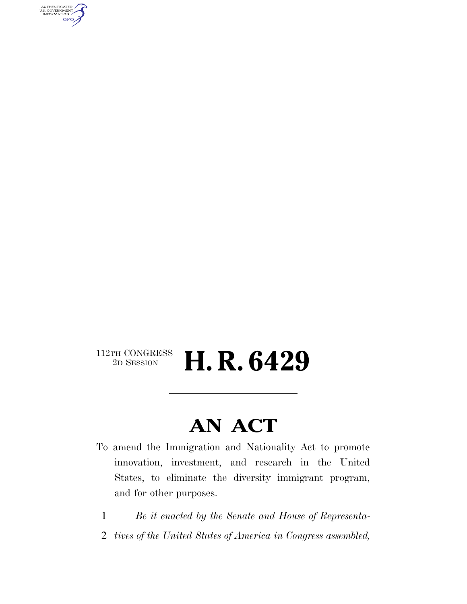AUTHENTICATED<br>U.S. GOVERNMENT<br>INFORMATION GPO

#### $\begin{array}{c} \textbf{112TH CONGRESS} \\ \textbf{2D SESION} \end{array}$ 2D SESSION **H. R. 6429**

## **AN ACT**

- To amend the Immigration and Nationality Act to promote innovation, investment, and research in the United States, to eliminate the diversity immigrant program, and for other purposes.
	- 1 *Be it enacted by the Senate and House of Representa-*
- 2 *tives of the United States of America in Congress assembled,*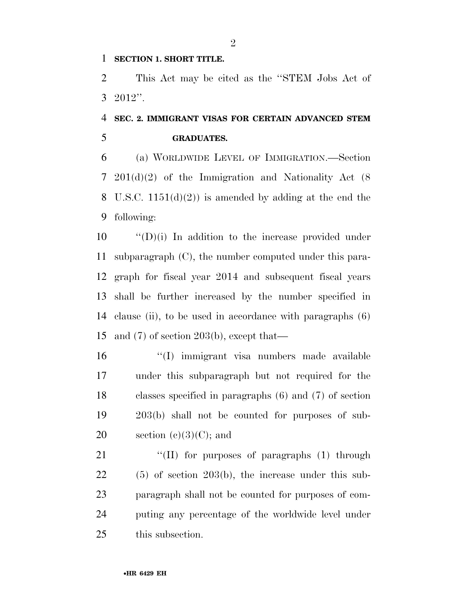#### **SECTION 1. SHORT TITLE.**

 This Act may be cited as the ''STEM Jobs Act of 2012''.

#### **SEC. 2. IMMIGRANT VISAS FOR CERTAIN ADVANCED STEM GRADUATES.**

 (a) WORLDWIDE LEVEL OF IMMIGRATION.—Section 201(d)(2) of the Immigration and Nationality Act (8 8 U.S.C.  $1151(d)(2)$  is amended by adding at the end the following:

 ''(D)(i) In addition to the increase provided under subparagraph (C), the number computed under this para- graph for fiscal year 2014 and subsequent fiscal years shall be further increased by the number specified in clause (ii), to be used in accordance with paragraphs (6) and (7) of section 203(b), except that—

- ''(I) immigrant visa numbers made available under this subparagraph but not required for the classes specified in paragraphs (6) and (7) of section 203(b) shall not be counted for purposes of sub-20 section  $(e)(3)(C)$ ; and
- 21 "(II) for purposes of paragraphs (1) through (5) of section 203(b), the increase under this sub- paragraph shall not be counted for purposes of com- puting any percentage of the worldwide level under this subsection.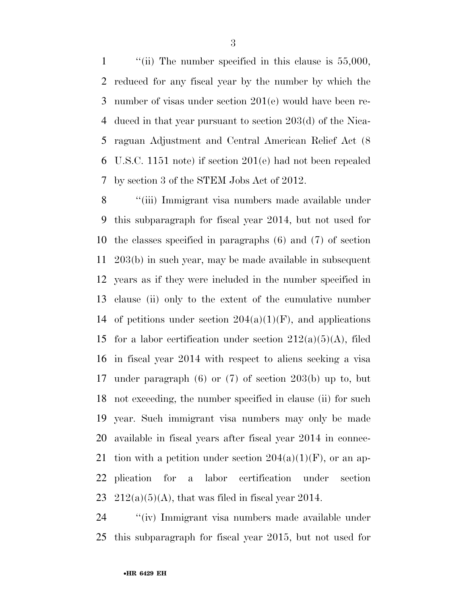1 "(ii) The number specified in this clause is 55,000, reduced for any fiscal year by the number by which the number of visas under section 201(e) would have been re- duced in that year pursuant to section 203(d) of the Nica- raguan Adjustment and Central American Relief Act (8 U.S.C. 1151 note) if section 201(e) had not been repealed by section 3 of the STEM Jobs Act of 2012.

 ''(iii) Immigrant visa numbers made available under this subparagraph for fiscal year 2014, but not used for the classes specified in paragraphs (6) and (7) of section 203(b) in such year, may be made available in subsequent years as if they were included in the number specified in clause (ii) only to the extent of the cumulative number 14 of petitions under section  $204(a)(1)(F)$ , and applications 15 for a labor certification under section  $212(a)(5)(A)$ , filed in fiscal year 2014 with respect to aliens seeking a visa under paragraph (6) or (7) of section 203(b) up to, but not exceeding, the number specified in clause (ii) for such year. Such immigrant visa numbers may only be made available in fiscal years after fiscal year 2014 in connec-21 tion with a petition under section  $204(a)(1)(F)$ , or an ap- plication for a labor certification under section  $212(a)(5)(A)$ , that was filed in fiscal year 2014.

 ''(iv) Immigrant visa numbers made available under this subparagraph for fiscal year 2015, but not used for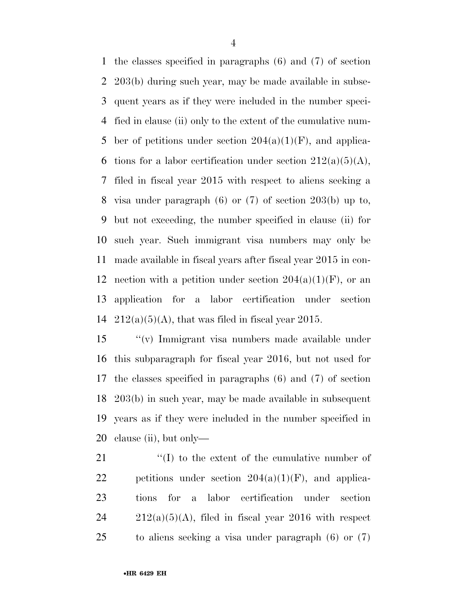the classes specified in paragraphs (6) and (7) of section 203(b) during such year, may be made available in subse- quent years as if they were included in the number speci- fied in clause (ii) only to the extent of the cumulative num-5 ber of petitions under section  $204(a)(1)(F)$ , and applica-6 tions for a labor certification under section  $212(a)(5)(A)$ , filed in fiscal year 2015 with respect to aliens seeking a visa under paragraph (6) or (7) of section 203(b) up to, but not exceeding, the number specified in clause (ii) for such year. Such immigrant visa numbers may only be made available in fiscal years after fiscal year 2015 in con-12 nection with a petition under section  $204(a)(1)(F)$ , or an application for a labor certification under section  $212(a)(5)(A)$ , that was filed in fiscal year 2015.

 ''(v) Immigrant visa numbers made available under this subparagraph for fiscal year 2016, but not used for the classes specified in paragraphs (6) and (7) of section 203(b) in such year, may be made available in subsequent years as if they were included in the number specified in clause (ii), but only—

 $\langle (I) \rangle$  to the extent of the cumulative number of 22 petitions under section  $204(a)(1)(F)$ , and applica- tions for a labor certification under section  $212(a)(5)(A)$ , filed in fiscal year 2016 with respect to aliens seeking a visa under paragraph (6) or (7)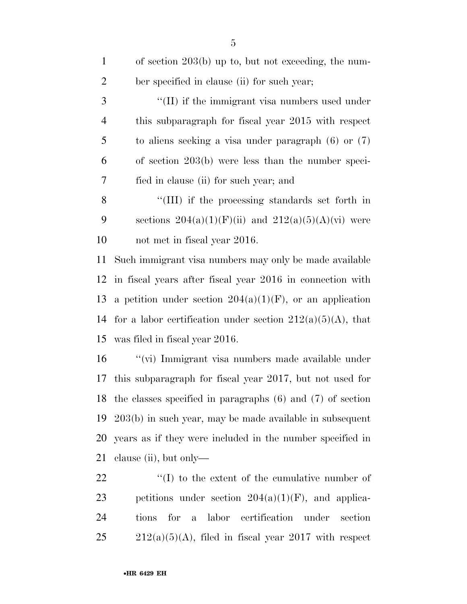| $\mathbf{1}$   | of section $203(b)$ up to, but not exceeding, the num-                  |  |
|----------------|-------------------------------------------------------------------------|--|
| $\overline{2}$ | ber specified in clause (ii) for such year;                             |  |
| 3              | "(II) if the immigrant visa numbers used under                          |  |
| $\overline{4}$ | this subparagraph for fiscal year 2015 with respect                     |  |
| 5              | to aliens seeking a visa under paragraph $(6)$ or $(7)$                 |  |
| 6              | of section $203(b)$ were less than the number speci-                    |  |
| 7              | fied in clause (ii) for such year; and                                  |  |
| 8              | "(III) if the processing standards set forth in                         |  |
| 9              | sections $204(a)(1)(F)(ii)$ and $212(a)(5)(A)(vi)$ were                 |  |
| 10             | not met in fiscal year 2016.                                            |  |
| 11             | Such immigrant visa numbers may only be made available                  |  |
| 12             | in fiscal years after fiscal year 2016 in connection with               |  |
| 13             | a petition under section $204(a)(1)(F)$ , or an application             |  |
| 14             | for a labor certification under section $212(a)(5)(A)$ , that           |  |
| 15             | was filed in fiscal year 2016.                                          |  |
| 16             | "(vi) Immigrant visa numbers made available under                       |  |
| 17             | this subparagraph for fiscal year 2017, but not used for                |  |
| 18             | the classes specified in paragraphs $(6)$ and $(7)$ of section          |  |
| 19             | $203(b)$ in such year, may be made available in subsequent              |  |
| <b>20</b>      | years as if they were included in the number specified in               |  |
| 21             | clause $(ii)$ , but only—                                               |  |
| 22             | $\lq\lq$ to the extent of the cumulative number of                      |  |
| 23             | petitions under section $204(a)(1)(F)$ , and applica-                   |  |
| 24             | labor certification<br>for<br>section<br>tions<br>under<br>$\mathbf{a}$ |  |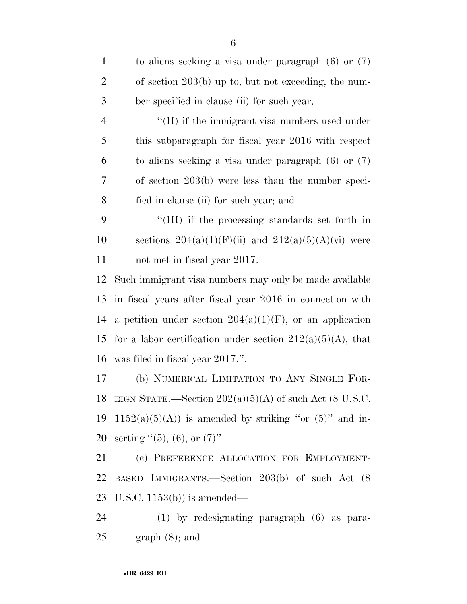| $\mathbf{1}$   | to aliens seeking a visa under paragraph $(6)$ or $(7)$       |
|----------------|---------------------------------------------------------------|
| $\overline{2}$ | of section 203(b) up to, but not exceeding, the num-          |
| $\mathfrak{Z}$ | ber specified in clause (ii) for such year;                   |
| $\overline{4}$ | "(II) if the immigrant visa numbers used under                |
| 5              | this subparagraph for fiscal year 2016 with respect           |
| 6              | to aliens seeking a visa under paragraph $(6)$ or $(7)$       |
| 7              | of section $203(b)$ were less than the number speci-          |
| 8              | fied in clause (ii) for such year; and                        |
| 9              | "(III) if the processing standards set forth in               |
| 10             | sections $204(a)(1)(F)(ii)$ and $212(a)(5)(A)(vi)$ were       |
| 11             | not met in fiscal year 2017.                                  |
| 12             | Such immigrant visa numbers may only be made available        |
| 13             | in fiscal years after fiscal year 2016 in connection with     |
| 14             | a petition under section $204(a)(1)(F)$ , or an application   |
| 15             | for a labor certification under section $212(a)(5)(A)$ , that |
| 16             | was filed in fiscal year 2017.".                              |
| 17             | (b) NUMERICAL LIMITATION TO ANY SINGLE FOR-                   |
| 18             | EIGN STATE.—Section $202(a)(5)(A)$ of such Act (8 U.S.C.      |
| 19             | $1152(a)(5)(A)$ is amended by striking "or $(5)$ " and in-    |
| 20             | serting $(5)$ , (6), or (7)".                                 |
| 21             | (c) PREFERENCE ALLOCATION FOR EMPLOYMENT-                     |
| 22             | BASED IMMIGRANTS.—Section 203(b) of such Act (8)              |
| 23             | U.S.C. $1153(b)$ is amended—                                  |
| 24             | $(1)$ by redesignating paragraph $(6)$ as para-               |
| 25             | $graph(8)$ ; and                                              |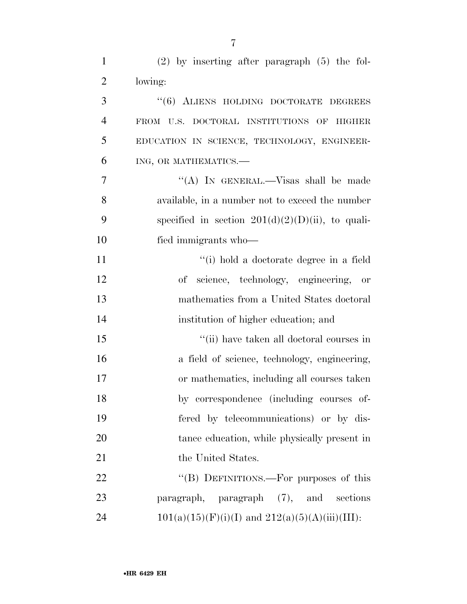| $\mathbf{1}$   | $(2)$ by inserting after paragraph $(5)$ the fol-    |
|----------------|------------------------------------------------------|
| $\overline{2}$ | lowing:                                              |
| 3              | "(6) ALIENS HOLDING DOCTORATE DEGREES                |
| $\overline{4}$ | FROM U.S. DOCTORAL INSTITUTIONS OF HIGHER            |
| 5              | EDUCATION IN SCIENCE, TECHNOLOGY, ENGINEER-          |
| 6              | ING, OR MATHEMATICS.-                                |
| 7              | "(A) IN GENERAL.—Visas shall be made                 |
| 8              | available, in a number not to exceed the number      |
| 9              | specified in section $201(d)(2)(D)(ii)$ , to quali-  |
| 10             | fied immigrants who—                                 |
| 11             | "(i) hold a doctorate degree in a field              |
| 12             | of science, technology, engineering, or              |
| 13             | mathematics from a United States doctoral            |
| 14             | institution of higher education; and                 |
| 15             | "(ii) have taken all doctoral courses in             |
| 16             | a field of science, technology, engineering,         |
| 17             | or mathematics, including all courses taken          |
| 18             | by correspondence (including courses of-             |
| 19             | fered by telecommunications) or by dis-              |
| 20             | tance education, while physically present in         |
| 21             | the United States.                                   |
| 22             | "(B) DEFINITIONS.—For purposes of this               |
| 23             | paragraph, paragraph (7), and sections               |
| 24             | $101(a)(15)(F)(i)(I)$ and $212(a)(5)(A)(iii)(III)$ : |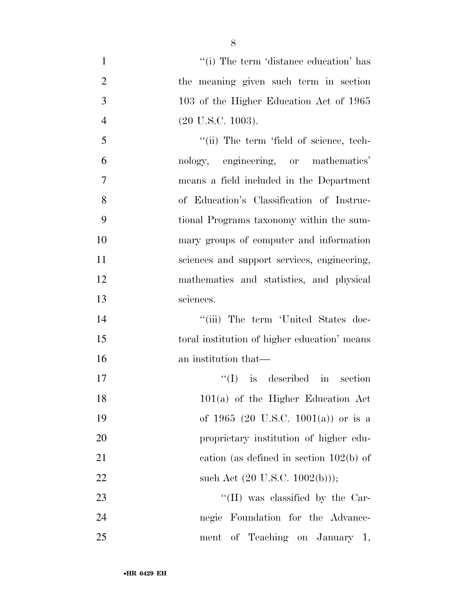1 ''(i) The term 'distance education' has the meaning given such term in section 103 of the Higher Education Act of 1965 (20 U.S.C. 1003). 5 "(ii) The term 'field of science, tech- nology, engineering, or mathematics' means a field included in the Department of Education's Classification of Instruc- tional Programs taxonomy within the sum- mary groups of computer and information sciences and support services, engineering, mathematics and statistics, and physical sciences. 14 ''(iii) The term 'United States doc-15 toral institution of higher education' means an institution that—  $\text{``(I)}$  is described in section 101(a) of the Higher Education Act of 1965 (20 U.S.C. 1001(a)) or is a proprietary institution of higher edu- cation (as defined in section 102(b) of 22 such Act  $(20 \text{ U.S.C. } 1002(b))$ ;  $\frac{1}{2}$  (II) was classified by the Car- negie Foundation for the Advance-ment of Teaching on January 1,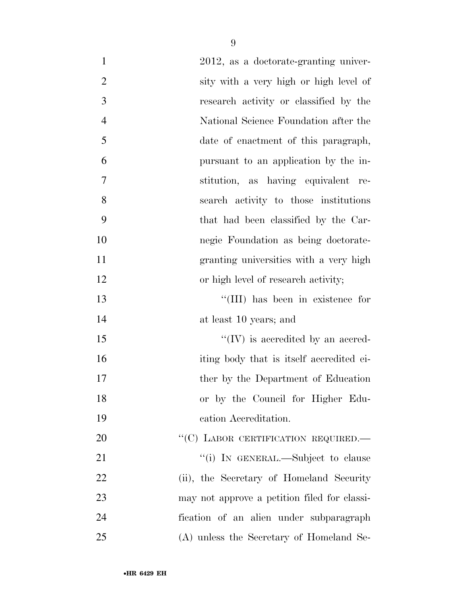| $\mathbf{1}$   | 2012, as a doctorate-granting univer-        |
|----------------|----------------------------------------------|
| $\overline{2}$ | sity with a very high or high level of       |
| 3              | research activity or classified by the       |
| $\overline{4}$ | National Science Foundation after the        |
| 5              | date of enactment of this paragraph,         |
| 6              | pursuant to an application by the in-        |
| $\overline{7}$ | stitution, as having equivalent re-          |
| 8              | search activity to those institutions        |
| 9              | that had been classified by the Car-         |
| 10             | negie Foundation as being doctorate-         |
| 11             | granting universities with a very high       |
| 12             | or high level of research activity;          |
| 13             | "(III) has been in existence for             |
| 14             | at least 10 years; and                       |
| 15             | $\lq\lq (IV)$ is accredited by an accred-    |
| 16             | iting body that is itself accredited ei-     |
| 17             | ther by the Department of Education          |
| 18             | or by the Council for Higher Edu-            |
| 19             | cation Accreditation.                        |
| $20\,$         | "(C) LABOR CERTIFICATION REQUIRED.—          |
| 21             | "(i) IN GENERAL.—Subject to clause           |
| 22             | (ii), the Secretary of Homeland Security     |
| 23             | may not approve a petition filed for classi- |
| 24             | fication of an alien under subparagraph      |
| 25             | (A) unless the Secretary of Homeland Se-     |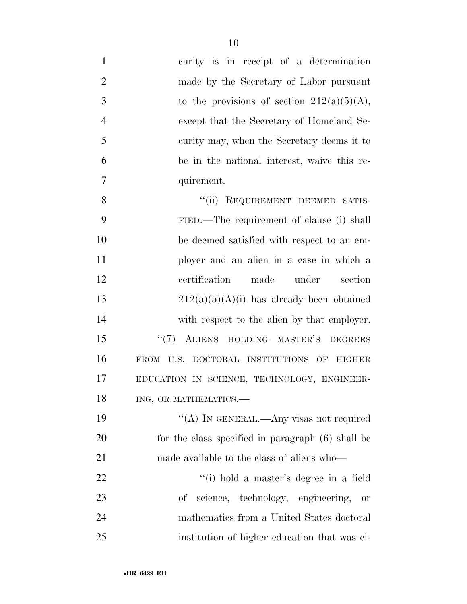| $\mathbf{1}$   | curity is in receipt of a determination           |
|----------------|---------------------------------------------------|
| $\overline{2}$ | made by the Secretary of Labor pursuant           |
| 3              | to the provisions of section $212(a)(5)(A)$ ,     |
| $\overline{4}$ | except that the Secretary of Homeland Se-         |
| 5              | curity may, when the Secretary deems it to        |
| 6              | be in the national interest, waive this re-       |
| 7              | quirement.                                        |
| 8              | "(ii) REQUIREMENT DEEMED SATIS-                   |
| 9              | FIED.—The requirement of clause (i) shall         |
| 10             | be deemed satisfied with respect to an em-        |
| 11             | ployer and an alien in a case in which a          |
| 12             | certification<br>made<br>under<br>section         |
| 13             | $212(a)(5)(A)(i)$ has already been obtained       |
| 14             | with respect to the alien by that employer.       |
| 15             | " $(7)$ ALIENS HOLDING MASTER'S<br><b>DEGREES</b> |
| 16             | FROM U.S. DOCTORAL INSTITUTIONS OF HIGHER         |
| 17             | EDUCATION IN SCIENCE, TECHNOLOGY, ENGINEER-       |
| 18             | ING, OR MATHEMATICS.-                             |
| 19             | "(A) IN GENERAL.—Any visas not required           |
| 20             | for the class specified in paragraph (6) shall be |
| 21             | made available to the class of aliens who-        |
| 22             | "(i) hold a master's degree in a field            |
| 23             | of science, technology, engineering,<br>or        |
| 24             | mathematics from a United States doctoral         |
| 25             | institution of higher education that was ei-      |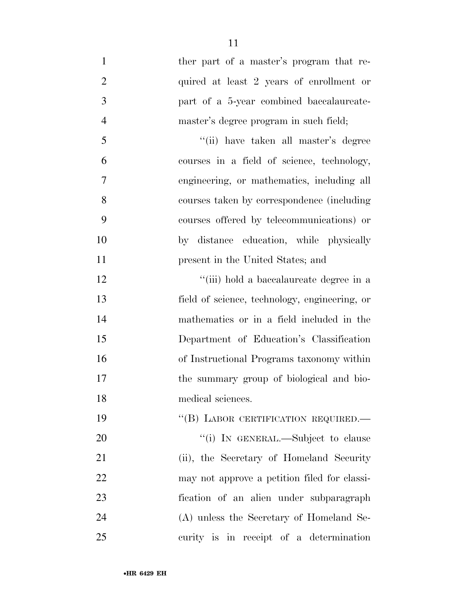- 1 ther part of a master's program that re-2 quired at least 2 years of enrollment or part of a 5-year combined baccalaureate- master's degree program in such field; ''(ii) have taken all master's degree courses in a field of science, technology, engineering, or mathematics, including all courses taken by correspondence (including courses offered by telecommunications) or by distance education, while physically **present in the United States**; and 12 ''(iii) hold a baccalaureate degree in a field of science, technology, engineering, or mathematics or in a field included in the Department of Education's Classification of Instructional Programs taxonomy within the summary group of biological and bio- medical sciences. 19 "(B) LABOR CERTIFICATION REQUIRED. 20 "(i) IN GENERAL.—Subject to clause 21 (ii), the Secretary of Homeland Security may not approve a petition filed for classi-
- fication of an alien under subparagraph (A) unless the Secretary of Homeland Se-curity is in receipt of a determination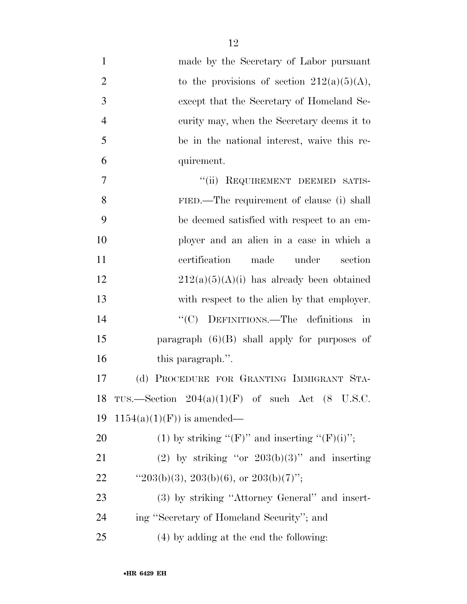| $\mathbf{1}$   | made by the Secretary of Labor pursuant             |
|----------------|-----------------------------------------------------|
| $\overline{2}$ | to the provisions of section $212(a)(5)(A)$ ,       |
| 3              | except that the Secretary of Homeland Se-           |
| $\overline{4}$ | curity may, when the Secretary deems it to          |
| 5              | be in the national interest, waive this re-         |
| 6              | quirement.                                          |
| $\overline{7}$ | REQUIREMENT DEEMED SATIS-<br>``(ii)                 |
| 8              | FIED.—The requirement of clause (i) shall           |
| 9              | be deemed satisfied with respect to an em-          |
| 10             | ployer and an alien in a case in which a            |
| 11             | certification<br>made<br>under<br>section           |
| 12             | $212(a)(5)(A)(i)$ has already been obtained         |
| 13             | with respect to the alien by that employer.         |
| 14             | DEFINITIONS.—The definitions<br>$\lq\lq C$<br>in    |
| 15             | paragraph $(6)(B)$ shall apply for purposes of      |
| 16             | this paragraph.".                                   |
| 17             | PROCEDURE FOR GRANTING IMMIGRANT STA-<br>(d)        |
| 18             | TUS.—Section $204(a)(1)(F)$ of such Act $(8$ U.S.C. |
| 19             | $1154(a)(1)(F)$ is amended—                         |
| 20             | (1) by striking "(F)" and inserting "(F)(i)";       |
| 21             | (2) by striking "or $203(b)(3)$ " and inserting     |
| 22             | " $203(b)(3)$ , $203(b)(6)$ , or $203(b)(7)$ ";     |
| 23             | (3) by striking "Attorney General" and insert-      |
| 24             | ing "Secretary of Homeland Security"; and           |
| 25             | (4) by adding at the end the following:             |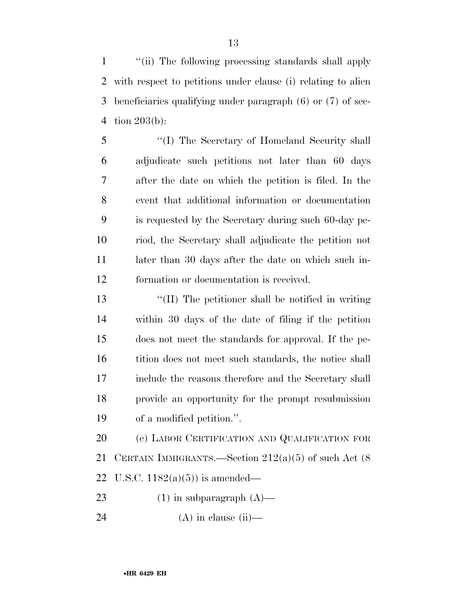''(ii) The following processing standards shall apply with respect to petitions under clause (i) relating to alien beneficiaries qualifying under paragraph (6) or (7) of sec-tion 203(b):

 ''(I) The Secretary of Homeland Security shall adjudicate such petitions not later than 60 days after the date on which the petition is filed. In the event that additional information or documentation is requested by the Secretary during such 60-day pe- riod, the Secretary shall adjudicate the petition not 11 later than 30 days after the date on which such in-formation or documentation is received.

 ''(II) The petitioner shall be notified in writing within 30 days of the date of filing if the petition does not meet the standards for approval. If the pe-16 tition does not meet such standards, the notice shall include the reasons therefore and the Secretary shall provide an opportunity for the prompt resubmission of a modified petition.''.

 (e) LABOR CERTIFICATION AND QUALIFICATION FOR 21 CERTAIN IMMIGRANTS.—Section  $212(a)(5)$  of such Act  $(8)$ 22 U.S.C.  $1182(a)(5)$  is amended—

23 (1) in subparagraph  $(A)$ —

24 (A) in clause (ii)—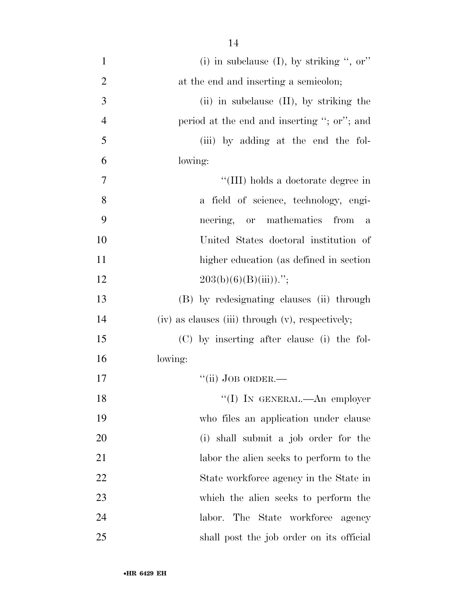| $\mathbf{1}$   | (i) in subclause (I), by striking ", or"         |
|----------------|--------------------------------------------------|
| $\overline{2}$ | at the end and inserting a semicolon;            |
| 3              | $(ii)$ in subclause $(II)$ , by striking the     |
| $\overline{4}$ | period at the end and inserting "; or"; and      |
| 5              | (iii) by adding at the end the fol-              |
| 6              | lowing:                                          |
| 7              | "(III) holds a doctorate degree in               |
| 8              | a field of science, technology, engi-            |
| 9              | neering, or mathematics from<br>a                |
| 10             | United States doctoral institution of            |
| 11             | higher education (as defined in section          |
| 12             | $203(b)(6)(B(iii))$ .";                          |
| 13             | (B) by redesignating clauses (ii) through        |
| 14             | (iv) as clauses (iii) through (v), respectively; |
| 15             | (C) by inserting after clause (i) the fol-       |
| 16             | lowing:                                          |
| 17             | $``$ (ii) JOB ORDER.—                            |
| 18             | "(I) IN GENERAL.—An employer                     |
| 19             | who files an application under clause            |
| 20             | (i) shall submit a job order for the             |
| 21             | labor the alien seeks to perform to the          |
| 22             | State workforce agency in the State in           |
| 23             | which the alien seeks to perform the             |
| 24             | labor. The State workforce agency                |
| 25             | shall post the job order on its official         |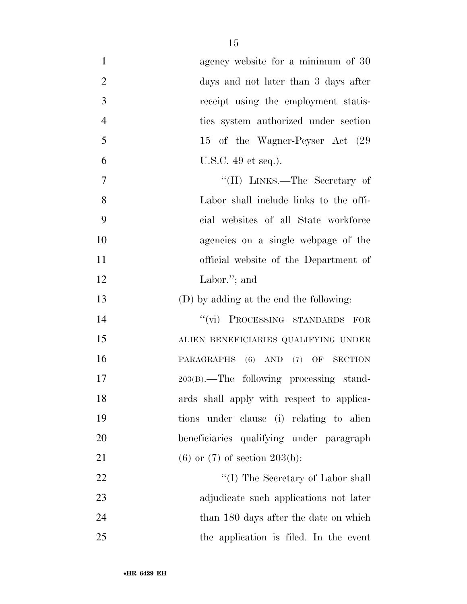| $\mathbf{1}$   | agency website for a minimum of 30        |
|----------------|-------------------------------------------|
| $\overline{2}$ | days and not later than 3 days after      |
| 3              | receipt using the employment statis-      |
| $\overline{4}$ | ties system authorized under section      |
| 5              | 15 of the Wagner-Peyser Act (29           |
| 6              | U.S.C. $49$ et seq.).                     |
| 7              | "(II) LINKS.—The Secretary of             |
| 8              | Labor shall include links to the offi-    |
| 9              | cial websites of all State workforce      |
| 10             | agencies on a single webpage of the       |
| 11             | official website of the Department of     |
| 12             | Labor."; and                              |
| 13             | (D) by adding at the end the following:   |
| 14             | "(vi) PROCESSING STANDARDS FOR            |
| 15             | ALIEN BENEFICIARIES QUALIFYING UNDER      |
| 16             | PARAGRAPHS (6) AND (7) OF SECTION         |
| 17             | 203(B).—The following processing stand-   |
| 18             | ards shall apply with respect to applica- |
| 19             | tions under clause (i) relating to alien  |
| 20             | beneficiaries qualifying under paragraph  |
| 21             | $(6)$ or $(7)$ of section 203(b):         |
| 22             | $\lq\lq (I)$ The Secretary of Labor shall |
| 23             | adjudicate such applications not later    |
| 24             | than 180 days after the date on which     |
| 25             | the application is filed. In the event    |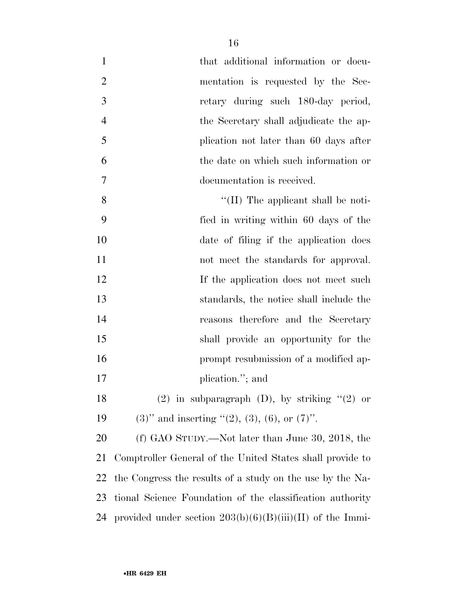| $\mathbf{1}$   | that additional information or docu-                        |
|----------------|-------------------------------------------------------------|
| $\overline{2}$ | mentation is requested by the Sec-                          |
| 3              | retary during such 180-day period,                          |
| $\overline{4}$ | the Secretary shall adjudicate the ap-                      |
| 5              | plication not later than 60 days after                      |
| 6              | the date on which such information or                       |
| 7              | documentation is received.                                  |
| 8              | $\lq\lq$ (II) The applicant shall be noti-                  |
| 9              | fied in writing within 60 days of the                       |
| 10             | date of filing if the application does                      |
| 11             | not meet the standards for approval.                        |
| 12             | If the application does not meet such                       |
| 13             | standards, the notice shall include the                     |
| 14             | reasons therefore and the Secretary                         |
| 15             | shall provide an opportunity for the                        |
| 16             | prompt resubmission of a modified ap-                       |
| 17             | plication."; and                                            |
| 18             | $(2)$ in subparagraph $(D)$ , by striking " $(2)$ or        |
| 19             | $(3)$ " and inserting " $(2)$ , $(3)$ , $(6)$ , or $(7)$ ". |
| 20             | (f) GAO STUDY.—Not later than June 30, 2018, the            |
| 21             | Comptroller General of the United States shall provide to   |
| 22             | the Congress the results of a study on the use by the Na-   |
| 23             | tional Science Foundation of the classification authority   |
| 24             | provided under section $203(b)(6)(B)(iii)(II)$ of the Immi- |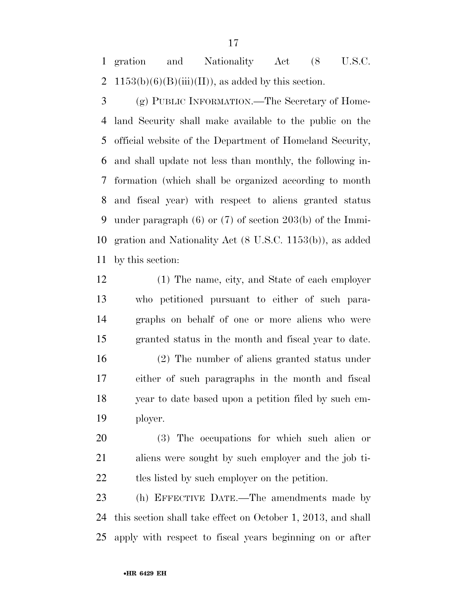gration and Nationality Act (8 U.S.C. 2 1153(b)(6)(B)(iii)(II)), as added by this section.

 (g) PUBLIC INFORMATION.—The Secretary of Home- land Security shall make available to the public on the official website of the Department of Homeland Security, and shall update not less than monthly, the following in- formation (which shall be organized according to month and fiscal year) with respect to aliens granted status under paragraph (6) or (7) of section 203(b) of the Immi- gration and Nationality Act (8 U.S.C. 1153(b)), as added by this section:

 (1) The name, city, and State of each employer who petitioned pursuant to either of such para- graphs on behalf of one or more aliens who were granted status in the month and fiscal year to date. (2) The number of aliens granted status under either of such paragraphs in the month and fiscal year to date based upon a petition filed by such em-ployer.

 (3) The occupations for which such alien or aliens were sought by such employer and the job ti-22 tles listed by such employer on the petition.

 (h) EFFECTIVE DATE.—The amendments made by this section shall take effect on October 1, 2013, and shall apply with respect to fiscal years beginning on or after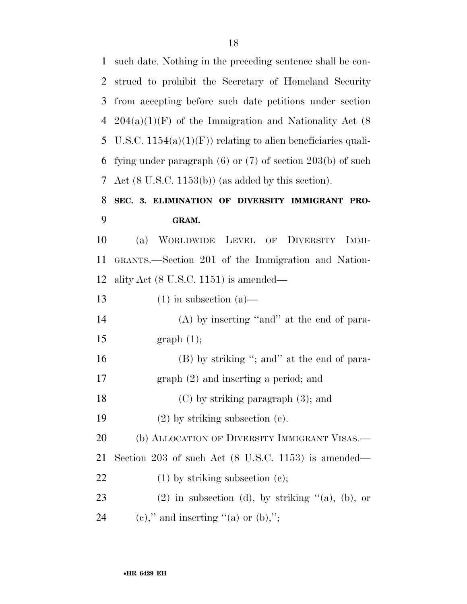such date. Nothing in the preceding sentence shall be con- strued to prohibit the Secretary of Homeland Security from accepting before such date petitions under section  $204(a)(1)(F)$  of the Immigration and Nationality Act (8) 5 U.S.C.  $1154(a)(1)(F)$  relating to alien beneficiaries quali- fying under paragraph (6) or (7) of section 203(b) of such Act (8 U.S.C. 1153(b)) (as added by this section).

### **SEC. 3. ELIMINATION OF DIVERSITY IMMIGRANT PRO-GRAM.**

 (a) WORLDWIDE LEVEL OF DIVERSITY IMMI- GRANTS.—Section 201 of the Immigration and Nation-ality Act (8 U.S.C. 1151) is amended—

| 13 | $(1)$ in subsection $(a)$ —                                    |
|----|----------------------------------------------------------------|
| 14 | $(A)$ by inserting "and" at the end of para-                   |
| 15 | graph(1);                                                      |
| 16 | (B) by striking "; and" at the end of para-                    |
| 17 | $graph(2)$ and inserting a period; and                         |
| 18 | $(C)$ by striking paragraph $(3)$ ; and                        |
| 19 | $(2)$ by striking subsection (e).                              |
| 20 | (b) ALLOCATION OF DIVERSITY IMMIGRANT VISAS.—                  |
| 21 | Section 203 of such Act $(8 \text{ U.S.C. } 1153)$ is amended— |
| 22 | $(1)$ by striking subsection $(e)$ ;                           |
| 23 | $(2)$ in subsection (d), by striking " $(a)$ , $(b)$ , or      |
| 24 | (e)," and inserting "(a) or $(b)$ ,";                          |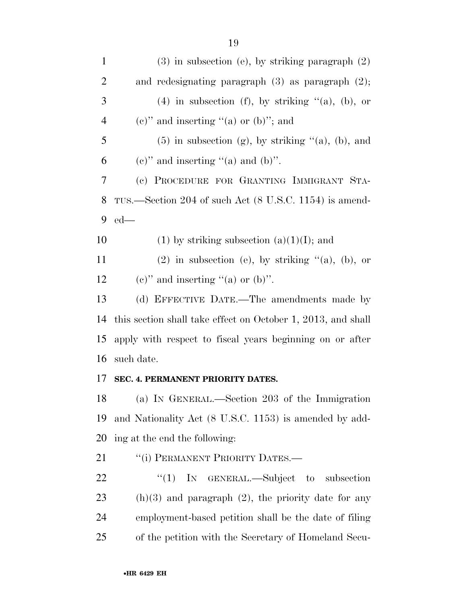| $\mathbf{1}$   | $(3)$ in subsection (e), by striking paragraph $(2)$         |
|----------------|--------------------------------------------------------------|
| $\overline{2}$ | and redesignating paragraph $(3)$ as paragraph $(2)$ ;       |
| 3              | (4) in subsection (f), by striking $(a)$ , (b), or           |
| $\overline{4}$ | $(e)$ " and inserting "(a) or (b)"; and                      |
| 5              | $(5)$ in subsection (g), by striking " $(a)$ , $(b)$ , and   |
| 6              | (e)" and inserting "(a) and (b)".                            |
| 7              | (c) PROCEDURE FOR GRANTING IMMIGRANT STA-                    |
| 8              | TUS.—Section 204 of such Act (8 U.S.C. 1154) is amend-       |
| 9              | $ed$ —                                                       |
| 10             | (1) by striking subsection (a)(1)(I); and                    |
| 11             | $(2)$ in subsection (e), by striking " $(a)$ , $(b)$ , or    |
| 12             | (e)" and inserting "(a) or $(b)$ ".                          |
| 13             | (d) EFFECTIVE DATE.—The amendments made by                   |
| 14             | this section shall take effect on October 1, 2013, and shall |
| 15             | apply with respect to fiscal years beginning on or after     |
| 16             | such date.                                                   |
| 17             | SEC. 4. PERMANENT PRIORITY DATES.                            |
| 18             | (a) IN GENERAL.—Section 203 of the Immigration               |
| 19             | and Nationality Act (8 U.S.C. 1153) is amended by add-       |
| 20             | ing at the end the following:                                |
| 21             | "(i) PERMANENT PRIORITY DATES.—                              |
| 22             | ``(1)<br>IN GENERAL.—Subject to subsection                   |
| 23             | $(h)(3)$ and paragraph $(2)$ , the priority date for any     |
| 24             | employment-based petition shall be the date of filing        |
|                |                                                              |

of the petition with the Secretary of Homeland Secu-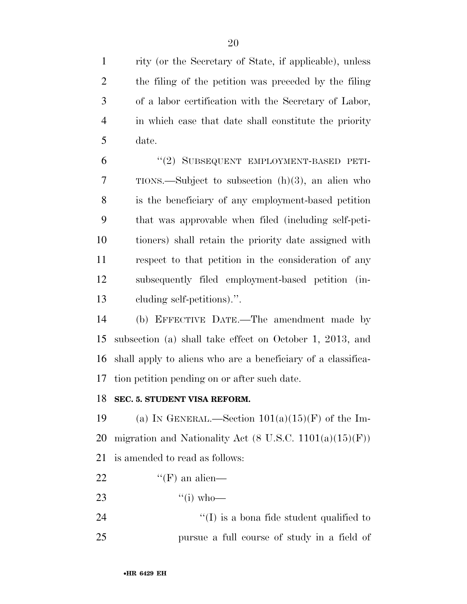rity (or the Secretary of State, if applicable), unless the filing of the petition was preceded by the filing of a labor certification with the Secretary of Labor, in which case that date shall constitute the priority date.

 ''(2) SUBSEQUENT EMPLOYMENT-BASED PETI- TIONS.—Subject to subsection (h)(3), an alien who is the beneficiary of any employment-based petition that was approvable when filed (including self-peti- tioners) shall retain the priority date assigned with respect to that petition in the consideration of any subsequently filed employment-based petition (in-cluding self-petitions).''.

 (b) EFFECTIVE DATE.—The amendment made by subsection (a) shall take effect on October 1, 2013, and shall apply to aliens who are a beneficiary of a classifica-tion petition pending on or after such date.

#### **SEC. 5. STUDENT VISA REFORM.**

19 (a) IN GENERAL.—Section  $101(a)(15)(F)$  of the Im-20 migration and Nationality Act  $(8 \text{ U.S.C. } 1101(a)(15)(\text{F}))$ is amended to read as follows:

22  $\text{``(F)}$  an alien—

23  $\frac{4}{10}$  who—

24  $\bullet$   $\bullet$   $\bullet$   $\bullet$   $\bullet$  is a bona fide student qualified to pursue a full course of study in a field of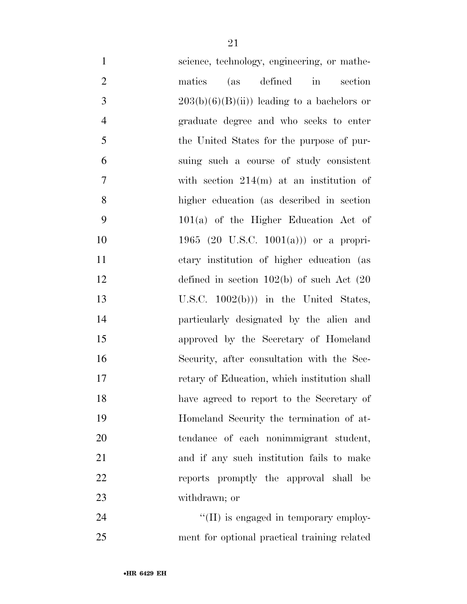| $\mathbf{1}$   | science, technology, engineering, or mathe-    |
|----------------|------------------------------------------------|
| $\overline{2}$ | (as defined in<br>matics<br>section            |
| 3              | $203(b)(6)(B(ii))$ leading to a bachelors or   |
| $\overline{4}$ | graduate degree and who seeks to enter         |
| 5              | the United States for the purpose of pur-      |
| 6              | suing such a course of study consistent        |
| 7              | with section $214(m)$ at an institution of     |
| 8              | higher education (as described in section)     |
| 9              | $101(a)$ of the Higher Education Act of        |
| 10             | 1965 (20 U.S.C. 1001(a))) or a propri-         |
| 11             | etary institution of higher education (as      |
| 12             | defined in section $102(b)$ of such Act $(20)$ |
| 13             | U.S.C. $1002(b))$ in the United States,        |
| 14             | particularly designated by the alien and       |
| 15             | approved by the Secretary of Homeland          |
| 16             | Security, after consultation with the Sec-     |
| 17             | retary of Education, which institution shall   |
| 18             | have agreed to report to the Secretary of      |
| 19             | Homeland Security the termination of at-       |
| $20\,$         | tendance of each nonimmigrant student,         |
| 21             | and if any such institution fails to make      |
| 22             | reports promptly the approval shall be         |
| 23             | withdrawn; or                                  |
| 24             | $\lq\lq$ (II) is engaged in temporary employ-  |
|                |                                                |

ment for optional practical training related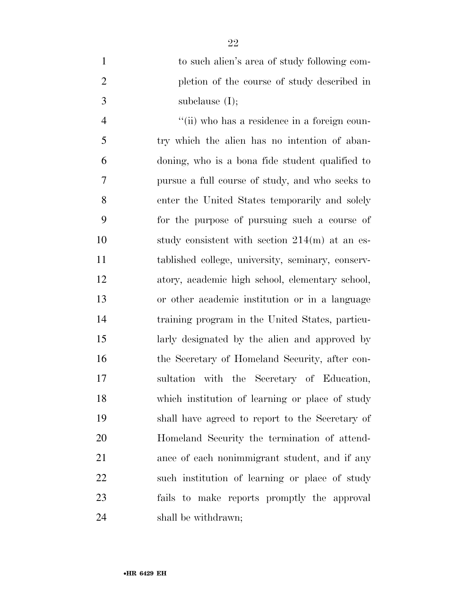to such alien's area of study following com- pletion of the course of study described in subclause (I);

4 ''(ii) who has a residence in a foreign coun- try which the alien has no intention of aban- doning, who is a bona fide student qualified to pursue a full course of study, and who seeks to enter the United States temporarily and solely for the purpose of pursuing such a course of 10 study consistent with section 214(m) at an es- tablished college, university, seminary, conserv- atory, academic high school, elementary school, or other academic institution or in a language training program in the United States, particu- larly designated by the alien and approved by the Secretary of Homeland Security, after con- sultation with the Secretary of Education, which institution of learning or place of study shall have agreed to report to the Secretary of Homeland Security the termination of attend- ance of each nonimmigrant student, and if any such institution of learning or place of study fails to make reports promptly the approval shall be withdrawn;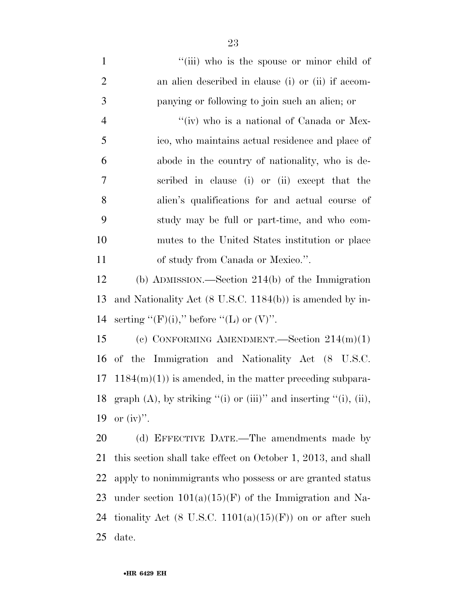| $\mathbf{1}$   | "(iii) who is the spouse or minor child of                          |
|----------------|---------------------------------------------------------------------|
| $\overline{2}$ | an alien described in clause (i) or (ii) if accom-                  |
| 3              | panying or following to join such an alien; or                      |
| $\overline{4}$ | "(iv) who is a national of Canada or Mex-                           |
| 5              | ico, who maintains actual residence and place of                    |
| 6              | abode in the country of nationality, who is de-                     |
| 7              | scribed in clause (i) or (ii) except that the                       |
| 8              | alien's qualifications for and actual course of                     |
| 9              | study may be full or part-time, and who com-                        |
| 10             | mutes to the United States institution or place                     |
| 11             | of study from Canada or Mexico.".                                   |
| 12             | (b) ADMISSION.—Section $214(b)$ of the Immigration                  |
| 13             | and Nationality Act $(8 \text{ U.S.C. } 1184(b))$ is amended by in- |
| 14             | serting "(F)(i)," before "(L) or $(V)$ ".                           |
| 15             | (c) CONFORMING AMENDMENT.—Section $214(m)(1)$                       |
| 16             | of the Immigration and Nationality Act (8 U.S.C.                    |
| 17             | $1184(m)(1)$ is amended, in the matter preceding subpara-           |
| 18             | $graph(A)$ , by striking "(i) or (iii)" and inserting "(i), (ii),   |
| 19             | or $(iv)$ .                                                         |
| 20             | (d) EFFECTIVE DATE.—The amendments made by                          |
| 21             | this section shall take effect on October 1, 2013, and shall        |
| 22             | apply to nonimmigrants who possess or are granted status            |
| 23             | under section $101(a)(15)(F)$ of the Immigration and Na-            |
| 24             | tionality Act (8 U.S.C. $1101(a)(15)(F)$ ) on or after such         |
| 25             | date.                                                               |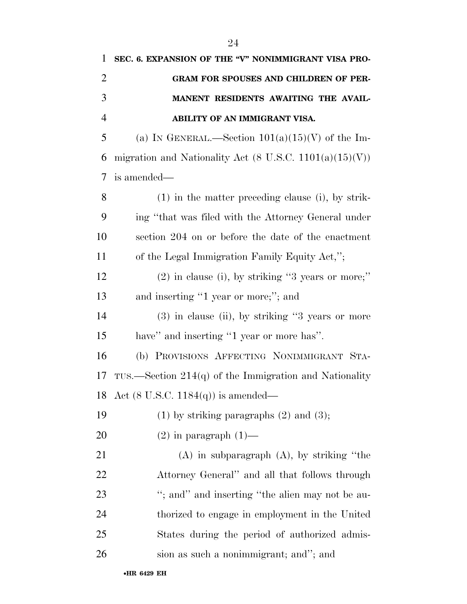| 1              | SEC. 6. EXPANSION OF THE "V" NONIMMIGRANT VISA PRO-        |
|----------------|------------------------------------------------------------|
| $\overline{2}$ | GRAM FOR SPOUSES AND CHILDREN OF PER-                      |
| 3              | MANENT RESIDENTS AWAITING THE AVAIL-                       |
| $\overline{4}$ | ABILITY OF AN IMMIGRANT VISA.                              |
| 5              | (a) IN GENERAL.—Section $101(a)(15)(V)$ of the Im-         |
| 6              | migration and Nationality Act (8 U.S.C. $1101(a)(15)(V)$ ) |
| 7              | is amended—                                                |
| 8              | $(1)$ in the matter preceding clause (i), by strik-        |
| 9              | ing "that was filed with the Attorney General under        |
| 10             | section 204 on or before the date of the enactment         |
| 11             | of the Legal Immigration Family Equity Act,";              |
| 12             | $(2)$ in clause (i), by striking "3 years or more;"        |
| 13             | and inserting "1 year or more;"; and                       |
| 14             | $(3)$ in clause (ii), by striking "3 years or more         |
| 15             | have" and inserting "1 year or more has".                  |
| 16             | (b) PROVISIONS AFFECTING NONIMMIGRANT STA-                 |
| 17             | TUS.—Section $214(q)$ of the Immigration and Nationality   |
|                | 18 Act $(8 \text{ U.S.C. } 1184(q))$ is amended—           |
| 19             | $(1)$ by striking paragraphs $(2)$ and $(3)$ ;             |
| 20             | $(2)$ in paragraph $(1)$ —                                 |
| 21             | $(A)$ in subparagraph $(A)$ , by striking "the             |
| 22             | Attorney General" and all that follows through             |
| 23             | "; and" and inserting "the alien may not be au-            |
| 24             | thorized to engage in employment in the United             |
| 25             | States during the period of authorized admis-              |
| 26             | sion as such a nonimmigrant; and"; and                     |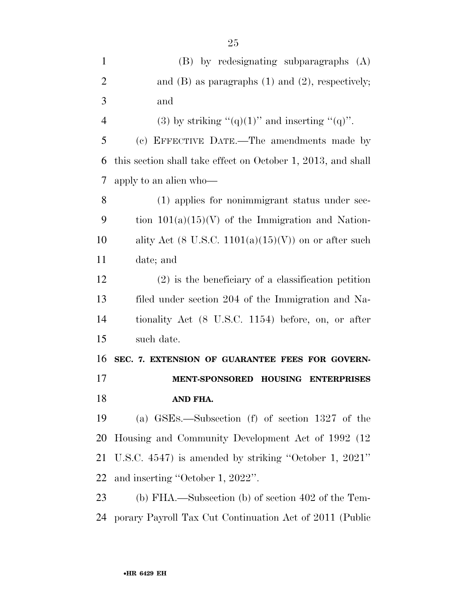| $\mathbf{1}$   | (B) by redesignating subparagraphs (A)                        |
|----------------|---------------------------------------------------------------|
|                |                                                               |
| $\overline{2}$ | and $(B)$ as paragraphs $(1)$ and $(2)$ , respectively;       |
| 3              | and                                                           |
| $\overline{4}$ | (3) by striking " $(q)(1)$ " and inserting " $(q)$ ".         |
| 5              | (c) EFFECTIVE DATE.—The amendments made by                    |
| 6              | this section shall take effect on October 1, 2013, and shall  |
| 7              | apply to an alien who-                                        |
| 8              | (1) applies for nonimmigrant status under sec-                |
| 9              | tion $101(a)(15)(V)$ of the Immigration and Nation-           |
| 10             | ality Act (8 U.S.C. $1101(a)(15)(V)$ ) on or after such       |
| 11             | date; and                                                     |
| 12             | $(2)$ is the beneficiary of a classification petition         |
| 13             | filed under section 204 of the Immigration and Na-            |
| 14             | tionality Act (8 U.S.C. 1154) before, on, or after            |
| 15             | such date.                                                    |
| 16             | SEC. 7. EXTENSION OF GUARANTEE FEES FOR GOVERN-               |
| 17             | <b>MENT-SPONSORED</b><br><b>HOUSING</b><br><b>ENTERPRISES</b> |
| 18             | AND FHA.                                                      |
| 19             | GSEs.—Subsection (f) of section 1327 of the<br>(a)            |
| 20             | Housing and Community Development Act of 1992 (12)            |
| 21             | U.S.C. $4547$ ) is amended by striking "October 1, $2021"$    |
| 22             | and inserting "October 1, 2022".                              |
| 23             | (b) FHA.—Subsection (b) of section 402 of the Tem-            |
| 24             | porary Payroll Tax Cut Continuation Act of 2011 (Public       |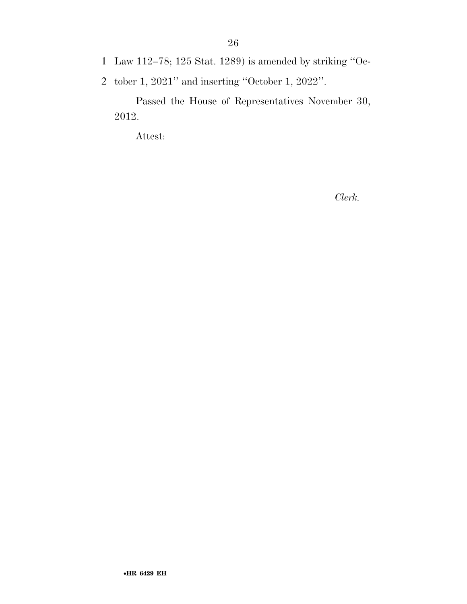- 1 Law 112–78; 125 Stat. 1289) is amended by striking ''Oc-
- 2 tober 1, 2021'' and inserting ''October 1, 2022''.

Passed the House of Representatives November 30, 2012.

Attest:

*Clerk.*